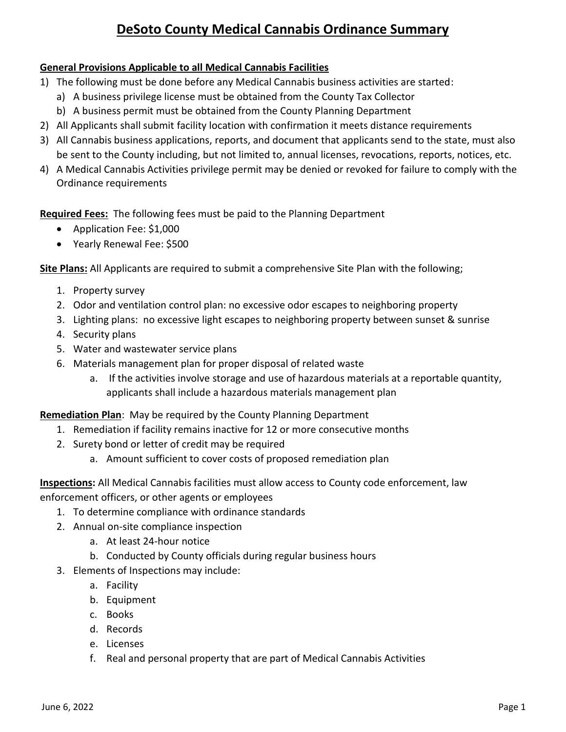## **DeSoto County Medical Cannabis Ordinance Summary**

## **General Provisions Applicable to all Medical Cannabis Facilities**

- 1) The following must be done before any Medical Cannabis business activities are started:
	- a) A business privilege license must be obtained from the County Tax Collector
	- b) A business permit must be obtained from the County Planning Department
- 2) All Applicants shall submit facility location with confirmation it meets distance requirements
- 3) All Cannabis business applications, reports, and document that applicants send to the state, must also be sent to the County including, but not limited to, annual licenses, revocations, reports, notices, etc.
- 4) A Medical Cannabis Activities privilege permit may be denied or revoked for failure to comply with the Ordinance requirements

**Required Fees:** The following fees must be paid to the Planning Department

- Application Fee: \$1,000
- Yearly Renewal Fee: \$500

**Site Plans:** All Applicants are required to submit a comprehensive Site Plan with the following;

- 1. Property survey
- 2. Odor and ventilation control plan: no excessive odor escapes to neighboring property
- 3. Lighting plans: no excessive light escapes to neighboring property between sunset & sunrise
- 4. Security plans
- 5. Water and wastewater service plans
- 6. Materials management plan for proper disposal of related waste
	- a. If the activities involve storage and use of hazardous materials at a reportable quantity, applicants shall include a hazardous materials management plan

**Remediation Plan**: May be required by the County Planning Department

- 1. Remediation if facility remains inactive for 12 or more consecutive months
- 2. Surety bond or letter of credit may be required
	- a. Amount sufficient to cover costs of proposed remediation plan

**Inspections:** All Medical Cannabis facilities must allow access to County code enforcement, law enforcement officers, or other agents or employees

- 1. To determine compliance with ordinance standards
- 2. Annual on-site compliance inspection
	- a. At least 24-hour notice
	- b. Conducted by County officials during regular business hours
- 3. Elements of Inspections may include:
	- a. Facility
	- b. Equipment
	- c. Books
	- d. Records
	- e. Licenses
	- f. Real and personal property that are part of Medical Cannabis Activities